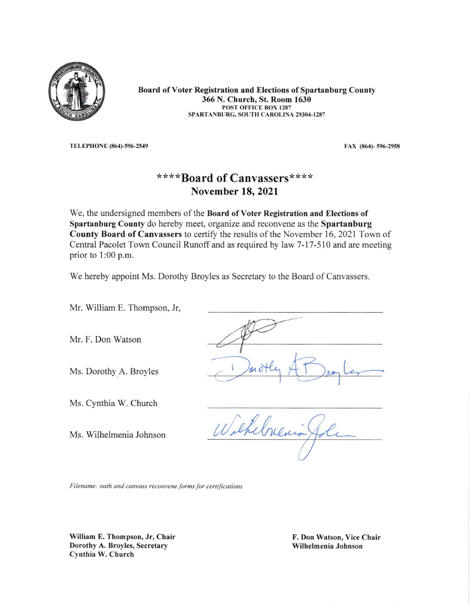

Board of Voter Registration and Elections of Spartanburg County 366 N. Church, St. Room 1630 POST OFFICE BOX I287 SPARTANBURG, SOUTH CAROLINA 29304-1287

TELEPHONE (864)-596-2549 FAX (864)-596-2958

## \*\*\*\*Board of Canvassers\*\*\*\* November 18,2021

We, the undersigned members of the Board of Voter Registration and Elections of Spartanburg County do hereby meet, organize and reconvene as the Spartanburg County Board of Canvassers to certify the results of the November 16, 2021 Town of Central Pacolet Town Council Runoff and as required by law 7-17-510 and are meeting prior to 1:00 p.m.

We hereby appoint Ms. Dorothy Broyles as Secretary to the Board of Canvassers.

Mr. William E. Thompson, Jr,

Mr. F. Don Watson

Ms. Dorothy A. Broyles

Ms. Cynthia W. Church

Ms. Wilhelmenia Johnson

Wilkelnewis

Filename: oath and canvass reconvene forms for certifications

William E. Thompson, Jr, Chair Dorothy A. Broyles, Secretary Cynthia W. Church

F. Don Watson, Vice Chair Wilhelmenia Johnson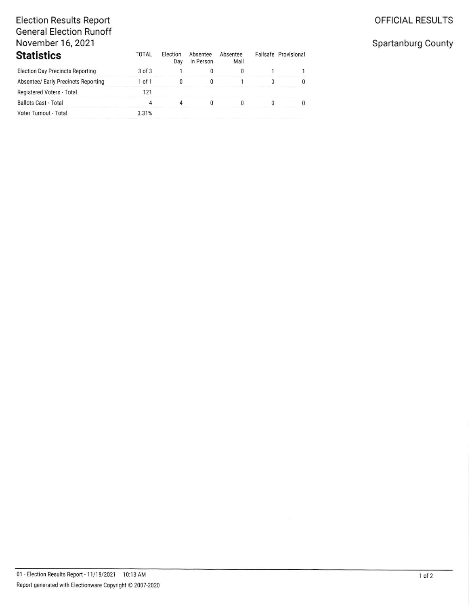#### OFFICIAL RESULTS

# **Election Results Report General Election Runoff** November 16, 2021

| <b>Statistics</b>                       | <b>TOTAL</b> | <b>Election</b><br>Day | Absentee<br>In Person | Absentee<br>Mail | Failsafe Provisional |
|-----------------------------------------|--------------|------------------------|-----------------------|------------------|----------------------|
| <b>Election Day Precincts Reporting</b> | $3$ of $3$   |                        |                       |                  |                      |
| Absentee/ Early Precincts Reporting     | $1$ of $1$   |                        |                       |                  |                      |
| Registered Voters - Total               | 121          |                        |                       |                  |                      |
| <b>Ballots Cast - Total</b>             |              |                        |                       |                  |                      |
| Voter Turnout - Total                   | 3.31%        |                        |                       |                  |                      |

### Spartanburg County